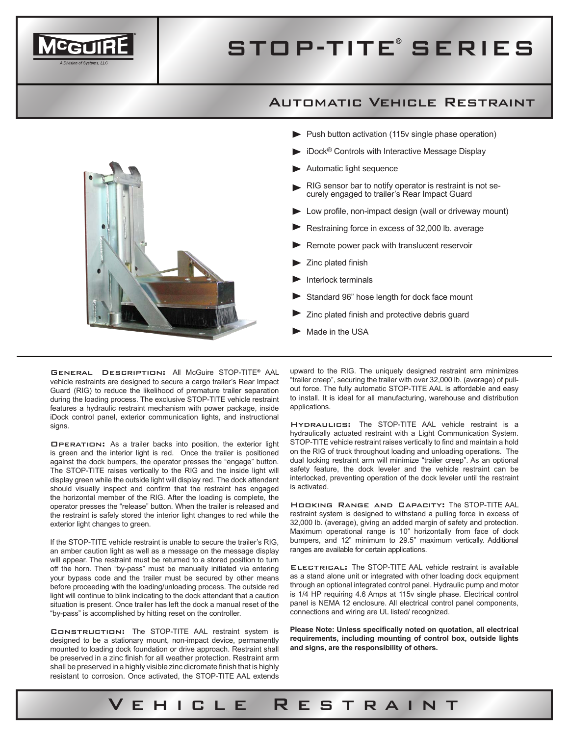

# STOP-TITE<sup>®</sup> SERIES

#### Automatic Vehicle Restraint



- $\blacktriangleright$  Push button activation (115v single phase operation)
- iDock® Controls with Interactive Message Display
- Automatic light sequence
- RIG sensor bar to notify operator is restraint is not securely engaged to trailer's Rear Impact Guard
- Low profile, non-impact design (wall or driveway mount)
- Restraining force in excess of 32,000 lb. average
- Remote power pack with translucent reservoir
- Zinc plated finish
- Interlock terminals
- Standard 96" hose length for dock face mount
- Zinc plated finish and protective debris guard
- Made in the USA

Vehicle Restraint

General Description: All McGuire STOP-TITE® AAL vehicle restraints are designed to secure a cargo trailer's Rear Impact Guard (RIG) to reduce the likelihood of premature trailer separation during the loading process. The exclusive STOP-TITE vehicle restraint features a hydraulic restraint mechanism with power package, inside iDock control panel, exterior communication lights, and instructional signs.

Operation: As a trailer backs into position, the exterior light is green and the interior light is red. Once the trailer is positioned against the dock bumpers, the operator presses the "engage" button. The STOP-TITE raises vertically to the RIG and the inside light will display green while the outside light will display red. The dock attendant should visually inspect and confirm that the restraint has engaged the horizontal member of the RIG. After the loading is complete, the operator presses the "release" button. When the trailer is released and the restraint is safely stored the interior light changes to red while the exterior light changes to green.

If the STOP-TITE vehicle restraint is unable to secure the trailer's RIG, an amber caution light as well as a message on the message display will appear. The restraint must be returned to a stored position to turn off the horn. Then "by-pass" must be manually initiated via entering your bypass code and the trailer must be secured by other means before proceeding with the loading/unloading process. The outside red light will continue to blink indicating to the dock attendant that a caution situation is present. Once trailer has left the dock a manual reset of the "by-pass" is accomplished by hitting reset on the controller.

Construction: The STOP-TITE AAL restraint system is designed to be a stationary mount, non-impact device, permanently mounted to loading dock foundation or drive approach. Restraint shall be preserved in a zinc finish for all weather protection. Restraint arm shall be preserved in a highly visible zinc dicromate finish that is highly resistant to corrosion. Once activated, the STOP-TITE AAL extends

upward to the RIG. The uniquely designed restraint arm minimizes "trailer creep", securing the trailer with over 32,000 lb. (average) of pullout force. The fully automatic STOP-TITE AAL is affordable and easy to install. It is ideal for all manufacturing, warehouse and distribution applications.

Hydraulics: The STOP-TITE AAL vehicle restraint is a hydraulically actuated restraint with a Light Communication System. STOP-TITE vehicle restraint raises vertically to find and maintain a hold on the RIG of truck throughout loading and unloading operations. The dual locking restraint arm will minimize "trailer creep". As an optional safety feature, the dock leveler and the vehicle restraint can be interlocked, preventing operation of the dock leveler until the restraint is activated.

Hooking Range and Capacity: The STOP-TITE AAL restraint system is designed to withstand a pulling force in excess of 32,000 lb. (average), giving an added margin of safety and protection. Maximum operational range is 10" horizontally from face of dock bumpers, and 12" minimum to 29.5" maximum vertically. Additional ranges are available for certain applications.

ELECTRICAL: The STOP-TITE AAL vehicle restraint is available as a stand alone unit or integrated with other loading dock equipment through an optional integrated control panel. Hydraulic pump and motor is 1/4 HP requiring 4.6 Amps at 115v single phase. Electrical control panel is NEMA 12 enclosure. All electrical control panel components, connections and wiring are UL listed/ recognized.

**Please Note: Unless specifically noted on quotation, all electrical requirements, including mounting of control box, outside lights and signs, are the responsibility of others.**